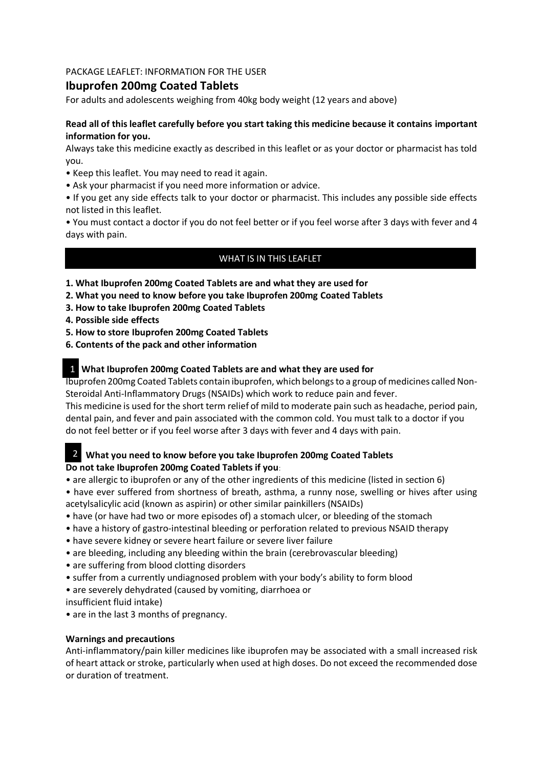# PACKAGE LEAFLET: INFORMATION FOR THE USER

# **Ibuprofen 200mg Coated Tablets**

For adults and adolescents weighing from 40kg body weight (12 years and above)

# **Read all of this leaflet carefully before you start taking this medicine because it contains important information for you.**

Always take this medicine exactly as described in this leaflet or as your doctor or pharmacist has told you.

- Keep this leaflet. You may need to read it again.
- Ask your pharmacist if you need more information or advice.
- If you get any side effects talk to your doctor or pharmacist. This includes any possible side effects not listed in this leaflet.

• You must contact a doctor if you do not feel better or if you feel worse after 3 days with fever and 4 days with pain.

# WHAT IS IN THIS LEAFLET

- **1. What Ibuprofen 200mg Coated Tablets are and what they are used for**
- **2. What you need to know before you take Ibuprofen 200mg Coated Tablets**
- **3. How to take Ibuprofen 200mg Coated Tablets**
- **4. Possible side effects**
- **5. How to store Ibuprofen 200mg Coated Tablets**
- **6. Contents of the pack and other information**

#### **What Ibuprofen 200mg Coated Tablets are and what they are used for** 1

Ibuprofen 200mg Coated Tablets contain ibuprofen, which belongs to a group of medicines called Non-Steroidal Anti-Inflammatory Drugs (NSAIDs) which work to reduce pain and fever.

This medicine is used for the short term relief of mild to moderate pain such as headache, period pain, dental pain, and fever and pain associated with the common cold. You must talk to a doctor if you do not feel better or if you feel worse after 3 days with fever and 4 days with pain.

# 2 What you need to know before you take Ibuprofen 200mg Coated Tablets **Do not take Ibuprofen 200mg Coated Tablets if you**:

• are allergic to ibuprofen or any of the other ingredients of this medicine (listed in section 6)

• have ever suffered from shortness of breath, asthma, a runny nose, swelling or hives after using acetylsalicylic acid (known as aspirin) or other similar painkillers (NSAIDs)

- have (or have had two or more episodes of) a stomach ulcer, or bleeding of the stomach
- have a history of gastro-intestinal bleeding or perforation related to previous NSAID therapy
- have severe kidney or severe heart failure or severe liver failure
- are bleeding, including any bleeding within the brain (cerebrovascular bleeding)
- are suffering from blood clotting disorders
- suffer from a currently undiagnosed problem with your body's ability to form blood
- are severely dehydrated (caused by vomiting, diarrhoea or
- insufficient fluid intake)
- are in the last 3 months of pregnancy.

#### **Warnings and precautions**

Anti-inflammatory/pain killer medicines like ibuprofen may be associated with a small increased risk of heart attack or stroke, particularly when used at high doses. Do not exceed the recommended dose or duration of treatment.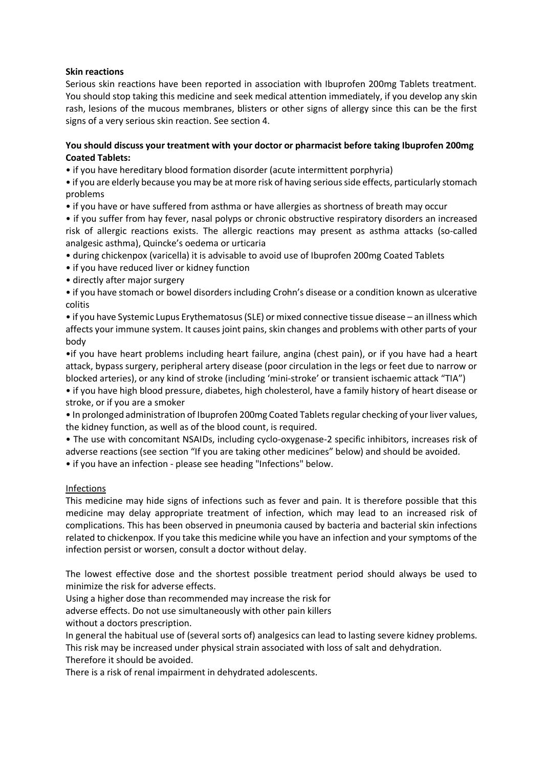#### **Skin reactions**

Serious skin reactions have been reported in association with Ibuprofen 200mg Tablets treatment. You should stop taking this medicine and seek medical attention immediately, if you develop any skin rash, lesions of the mucous membranes, blisters or other signs of allergy since this can be the first signs of a very serious skin reaction. See section 4.

## **You should discuss your treatment with your doctor or pharmacist before taking Ibuprofen 200mg Coated Tablets:**

• if you have hereditary blood formation disorder (acute intermittent porphyria)

• if you are elderly because you may be at more risk of having serious side effects, particularly stomach problems

• if you have or have suffered from asthma or have allergies as shortness of breath may occur

• if you suffer from hay fever, nasal polyps or chronic obstructive respiratory disorders an increased risk of allergic reactions exists. The allergic reactions may present as asthma attacks (so-called analgesic asthma), Quincke's oedema or urticaria

• during chickenpox (varicella) it is advisable to avoid use of Ibuprofen 200mg Coated Tablets

• if you have reduced liver or kidney function

• directly after major surgery

• if you have stomach or bowel disorders including Crohn's disease or a condition known as ulcerative colitis

• if you have Systemic Lupus Erythematosus (SLE) or mixed connective tissue disease – an illness which affects your immune system. It causes joint pains, skin changes and problems with other parts of your body

•if you have heart problems including heart failure, angina (chest pain), or if you have had a heart attack, bypass surgery, peripheral artery disease (poor circulation in the legs or feet due to narrow or blocked arteries), or any kind of stroke (including 'mini-stroke' or transient ischaemic attack "TIA")

• if you have high blood pressure, diabetes, high cholesterol, have a family history of heart disease or stroke, or if you are a smoker

• In prolonged administration of Ibuprofen 200mg Coated Tablets regular checking of your liver values, the kidney function, as well as of the blood count, is required.

• The use with concomitant NSAIDs, including cyclo-oxygenase-2 specific inhibitors, increases risk of adverse reactions (see section "If you are taking other medicines" below) and should be avoided.

• if you have an infection - please see heading "Infections" below.

#### Infections

This medicine may hide signs of infections such as fever and pain. It is therefore possible that this medicine may delay appropriate treatment of infection, which may lead to an increased risk of complications. This has been observed in pneumonia caused by bacteria and bacterial skin infections related to chickenpox. If you take this medicine while you have an infection and your symptoms of the infection persist or worsen, consult a doctor without delay.

The lowest effective dose and the shortest possible treatment period should always be used to minimize the risk for adverse effects.

Using a higher dose than recommended may increase the risk for

adverse effects. Do not use simultaneously with other pain killers

without a doctors prescription.

In general the habitual use of (several sorts of) analgesics can lead to lasting severe kidney problems. This risk may be increased under physical strain associated with loss of salt and dehydration. Therefore it should be avoided.

There is a risk of renal impairment in dehydrated adolescents.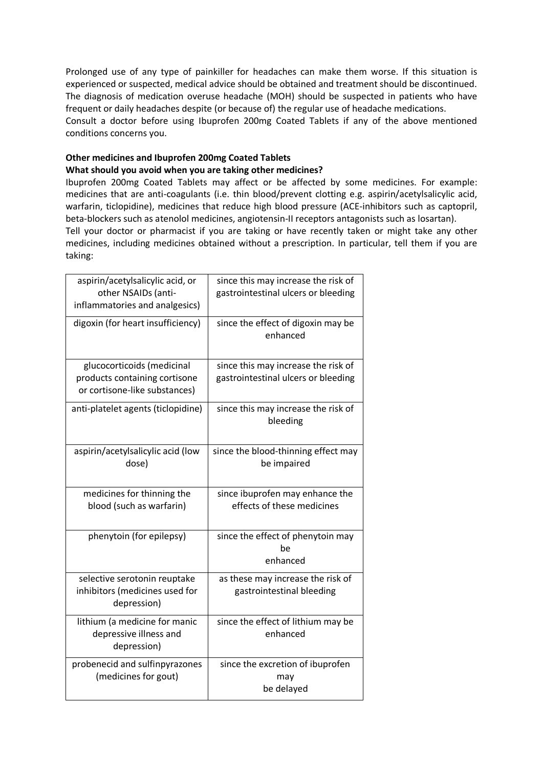Prolonged use of any type of painkiller for headaches can make them worse. If this situation is experienced or suspected, medical advice should be obtained and treatment should be discontinued. The diagnosis of medication overuse headache (MOH) should be suspected in patients who have frequent or daily headaches despite (or because of) the regular use of headache medications. Consult a doctor before using Ibuprofen 200mg Coated Tablets if any of the above mentioned conditions concerns you.

## **Other medicines and Ibuprofen 200mg Coated Tablets What should you avoid when you are taking other medicines?**

Ibuprofen 200mg Coated Tablets may affect or be affected by some medicines. For example: medicines that are anti-coagulants (i.e. thin blood/prevent clotting e.g. aspirin/acetylsalicylic acid, warfarin, ticlopidine), medicines that reduce high blood pressure (ACE-inhibitors such as captopril, beta-blockers such as atenolol medicines, angiotensin-II receptors antagonists such as losartan).

Tell your doctor or pharmacist if you are taking or have recently taken or might take any other medicines, including medicines obtained without a prescription. In particular, tell them if you are taking:

| aspirin/acetylsalicylic acid, or<br>other NSAIDs (anti-<br>inflammatories and analgesics)    | since this may increase the risk of<br>gastrointestinal ulcers or bleeding |
|----------------------------------------------------------------------------------------------|----------------------------------------------------------------------------|
| digoxin (for heart insufficiency)                                                            | since the effect of digoxin may be<br>enhanced                             |
| glucocorticoids (medicinal<br>products containing cortisone<br>or cortisone-like substances) | since this may increase the risk of<br>gastrointestinal ulcers or bleeding |
| anti-platelet agents (ticlopidine)                                                           | since this may increase the risk of<br>bleeding                            |
| aspirin/acetylsalicylic acid (low<br>dose)                                                   | since the blood-thinning effect may<br>be impaired                         |
| medicines for thinning the<br>blood (such as warfarin)                                       | since ibuprofen may enhance the<br>effects of these medicines              |
| phenytoin (for epilepsy)                                                                     | since the effect of phenytoin may<br>be<br>enhanced                        |
| selective serotonin reuptake<br>inhibitors (medicines used for<br>depression)                | as these may increase the risk of<br>gastrointestinal bleeding             |
| lithium (a medicine for manic<br>depressive illness and<br>depression)                       | since the effect of lithium may be<br>enhanced                             |
| probenecid and sulfinpyrazones<br>(medicines for gout)                                       | since the excretion of ibuprofen<br>may<br>be delayed                      |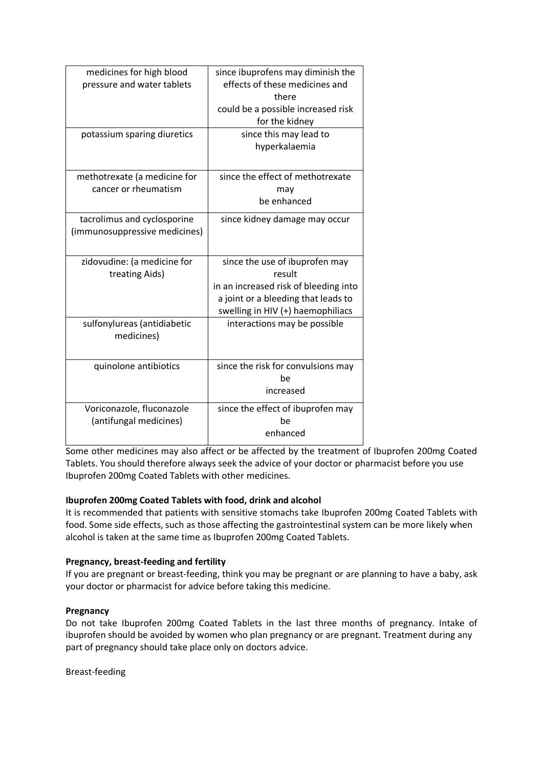| medicines for high blood<br>pressure and water tablets       | since ibuprofens may diminish the<br>effects of these medicines and<br>there<br>could be a possible increased risk<br>for the kidney                          |
|--------------------------------------------------------------|---------------------------------------------------------------------------------------------------------------------------------------------------------------|
| potassium sparing diuretics                                  | since this may lead to<br>hyperkalaemia                                                                                                                       |
| methotrexate (a medicine for                                 | since the effect of methotrexate                                                                                                                              |
| cancer or rheumatism                                         | may                                                                                                                                                           |
|                                                              | be enhanced                                                                                                                                                   |
| tacrolimus and cyclosporine<br>(immunosuppressive medicines) | since kidney damage may occur                                                                                                                                 |
| zidovudine: (a medicine for<br>treating Aids)                | since the use of ibuprofen may<br>result<br>in an increased risk of bleeding into<br>a joint or a bleeding that leads to<br>swelling in HIV (+) haemophiliacs |
| sulfonylureas (antidiabetic<br>medicines)                    | interactions may be possible                                                                                                                                  |
| quinolone antibiotics                                        | since the risk for convulsions may<br>be<br>increased                                                                                                         |
| Voriconazole, fluconazole                                    | since the effect of ibuprofen may                                                                                                                             |
| (antifungal medicines)                                       | be                                                                                                                                                            |
|                                                              | enhanced                                                                                                                                                      |
|                                                              |                                                                                                                                                               |

Some other medicines may also affect or be affected by the treatment of Ibuprofen 200mg Coated Tablets. You should therefore always seek the advice of your doctor or pharmacist before you use Ibuprofen 200mg Coated Tablets with other medicines.

# **Ibuprofen 200mg Coated Tablets with food, drink and alcohol**

It is recommended that patients with sensitive stomachs take Ibuprofen 200mg Coated Tablets with food. Some side effects, such as those affecting the gastrointestinal system can be more likely when alcohol is taken at the same time as Ibuprofen 200mg Coated Tablets.

# **Pregnancy, breast-feeding and fertility**

If you are pregnant or breast-feeding, think you may be pregnant or are planning to have a baby, ask your doctor or pharmacist for advice before taking this medicine.

# **Pregnancy**

Do not take Ibuprofen 200mg Coated Tablets in the last three months of pregnancy. Intake of ibuprofen should be avoided by women who plan pregnancy or are pregnant. Treatment during any part of pregnancy should take place only on doctors advice.

Breast-feeding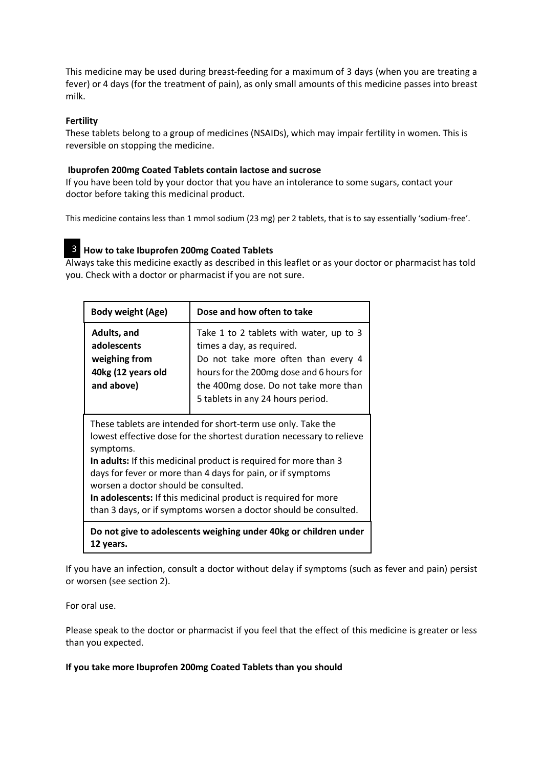This medicine may be used during breast-feeding for a maximum of 3 days (when you are treating a fever) or 4 days (for the treatment of pain), as only small amounts of this medicine passes into breast milk.

# **Fertility**

These tablets belong to a group of medicines (NSAIDs), which may impair fertility in women. This is reversible on stopping the medicine.

#### **Ibuprofen 200mg Coated Tablets contain lactose and sucrose**

If you have been told by your doctor that you have an intolerance to some sugars, contact your doctor before taking this medicinal product.

This medicine contains less than 1 mmol sodium (23 mg) per 2 tablets, that is to say essentially 'sodium-free'.

# **How to take Ibuprofen 200mg Coated Tablets** 3

Always take this medicine exactly as described in this leaflet or as your doctor or pharmacist has told you. Check with a doctor or pharmacist if you are not sure.

| <b>Body weight (Age)</b>                                                                                                                                                                                                                                                                                                                                                                                                                                           | Dose and how often to take                                                                                                                                                                                                            |
|--------------------------------------------------------------------------------------------------------------------------------------------------------------------------------------------------------------------------------------------------------------------------------------------------------------------------------------------------------------------------------------------------------------------------------------------------------------------|---------------------------------------------------------------------------------------------------------------------------------------------------------------------------------------------------------------------------------------|
| Adults, and<br>adolescents<br>weighing from<br>40kg (12 years old<br>and above)                                                                                                                                                                                                                                                                                                                                                                                    | Take 1 to 2 tablets with water, up to 3<br>times a day, as required.<br>Do not take more often than every 4<br>hours for the 200mg dose and 6 hours for<br>the 400mg dose. Do not take more than<br>5 tablets in any 24 hours period. |
| These tablets are intended for short-term use only. Take the<br>lowest effective dose for the shortest duration necessary to relieve<br>symptoms.<br>In adults: If this medicinal product is required for more than 3<br>days for fever or more than 4 days for pain, or if symptoms<br>worsen a doctor should be consulted.<br>In adolescents: If this medicinal product is required for more<br>than 3 days, or if symptoms worsen a doctor should be consulted. |                                                                                                                                                                                                                                       |

**Do not give to adolescents weighing under 40kg or children under 12 years.**

If you have an infection, consult a doctor without delay if symptoms (such as fever and pain) persist or worsen (see section 2).

For oral use.

Please speak to the doctor or pharmacist if you feel that the effect of this medicine is greater or less than you expected.

#### **If you take more Ibuprofen 200mg Coated Tablets than you should**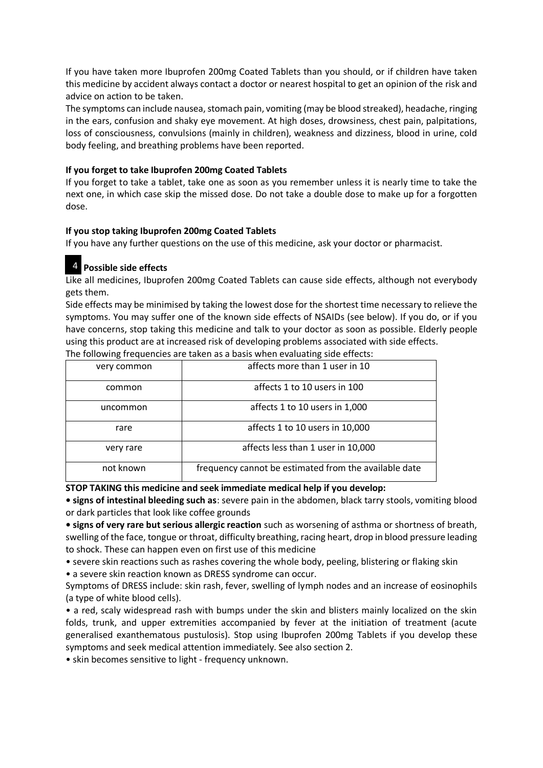If you have taken more Ibuprofen 200mg Coated Tablets than you should, or if children have taken this medicine by accident always contact a doctor or nearest hospital to get an opinion of the risk and advice on action to be taken.

The symptoms can include nausea, stomach pain, vomiting (may be blood streaked), headache, ringing in the ears, confusion and shaky eye movement. At high doses, drowsiness, chest pain, palpitations, loss of consciousness, convulsions (mainly in children), weakness and dizziness, blood in urine, cold body feeling, and breathing problems have been reported.

## **If you forget to take Ibuprofen 200mg Coated Tablets**

If you forget to take a tablet, take one as soon as you remember unless it is nearly time to take the next one, in which case skip the missed dose. Do not take a double dose to make up for a forgotten dose.

#### **If you stop taking Ibuprofen 200mg Coated Tablets**

If you have any further questions on the use of this medicine, ask your doctor or pharmacist.

# **Possible side effects** 4

Like all medicines, Ibuprofen 200mg Coated Tablets can cause side effects, although not everybody gets them.

Side effects may be minimised by taking the lowest dose for the shortest time necessary to relieve the symptoms. You may suffer one of the known side effects of NSAIDs (see below). If you do, or if you have concerns, stop taking this medicine and talk to your doctor as soon as possible. Elderly people using this product are at increased risk of developing problems associated with side effects.

| very common | affects more than 1 user in 10                        |
|-------------|-------------------------------------------------------|
| common      | affects 1 to 10 users in 100                          |
| uncommon    | affects 1 to 10 users in 1,000                        |
| rare        | affects 1 to 10 users in 10,000                       |
| very rare   | affects less than 1 user in 10,000                    |
| not known   | frequency cannot be estimated from the available date |

The following frequencies are taken as a basis when evaluating side effects:

#### **STOP TAKING this medicine and seek immediate medical help if you develop:**

**• signs of intestinal bleeding such as**: severe pain in the abdomen, black tarry stools, vomiting blood or dark particles that look like coffee grounds

**• signs of very rare but serious allergic reaction** such as worsening of asthma or shortness of breath, swelling of the face, tongue or throat, difficulty breathing, racing heart, drop in blood pressure leading to shock. These can happen even on first use of this medicine

• severe skin reactions such as rashes covering the whole body, peeling, blistering or flaking skin

• a severe skin reaction known as DRESS syndrome can occur.

Symptoms of DRESS include: skin rash, fever, swelling of lymph nodes and an increase of eosinophils (a type of white blood cells).

• a red, scaly widespread rash with bumps under the skin and blisters mainly localized on the skin folds, trunk, and upper extremities accompanied by fever at the initiation of treatment (acute generalised exanthematous pustulosis). Stop using Ibuprofen 200mg Tablets if you develop these symptoms and seek medical attention immediately. See also section 2.

• skin becomes sensitive to light - frequency unknown.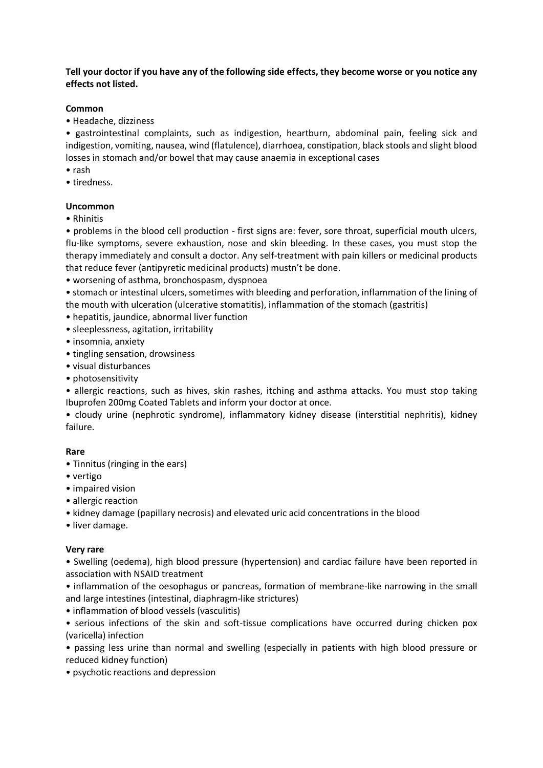# **Tell your doctor if you have any of the following side effects, they become worse or you notice any effects not listed.**

#### **Common**

• Headache, dizziness

• gastrointestinal complaints, such as indigestion, heartburn, abdominal pain, feeling sick and indigestion, vomiting, nausea, wind (flatulence), diarrhoea, constipation, black stools and slight blood losses in stomach and/or bowel that may cause anaemia in exceptional cases

- rash
- tiredness.

#### **Uncommon**

• Rhinitis

• problems in the blood cell production - first signs are: fever, sore throat, superficial mouth ulcers, flu-like symptoms, severe exhaustion, nose and skin bleeding. In these cases, you must stop the therapy immediately and consult a doctor. Any self-treatment with pain killers or medicinal products that reduce fever (antipyretic medicinal products) mustn't be done.

• worsening of asthma, bronchospasm, dyspnoea

• stomach or intestinal ulcers, sometimes with bleeding and perforation, inflammation of the lining of the mouth with ulceration (ulcerative stomatitis), inflammation of the stomach (gastritis)

- hepatitis, jaundice, abnormal liver function
- sleeplessness, agitation, irritability
- insomnia, anxiety
- tingling sensation, drowsiness
- visual disturbances
- photosensitivity

• allergic reactions, such as hives, skin rashes, itching and asthma attacks. You must stop taking Ibuprofen 200mg Coated Tablets and inform your doctor at once.

• cloudy urine (nephrotic syndrome), inflammatory kidney disease (interstitial nephritis), kidney failure.

#### **Rare**

- Tinnitus (ringing in the ears)
- vertigo
- impaired vision
- allergic reaction
- kidney damage (papillary necrosis) and elevated uric acid concentrations in the blood
- liver damage.

#### **Very rare**

• Swelling (oedema), high blood pressure (hypertension) and cardiac failure have been reported in association with NSAID treatment

• inflammation of the oesophagus or pancreas, formation of membrane-like narrowing in the small and large intestines (intestinal, diaphragm-like strictures)

• inflammation of blood vessels (vasculitis)

• serious infections of the skin and soft-tissue complications have occurred during chicken pox (varicella) infection

• passing less urine than normal and swelling (especially in patients with high blood pressure or reduced kidney function)

• psychotic reactions and depression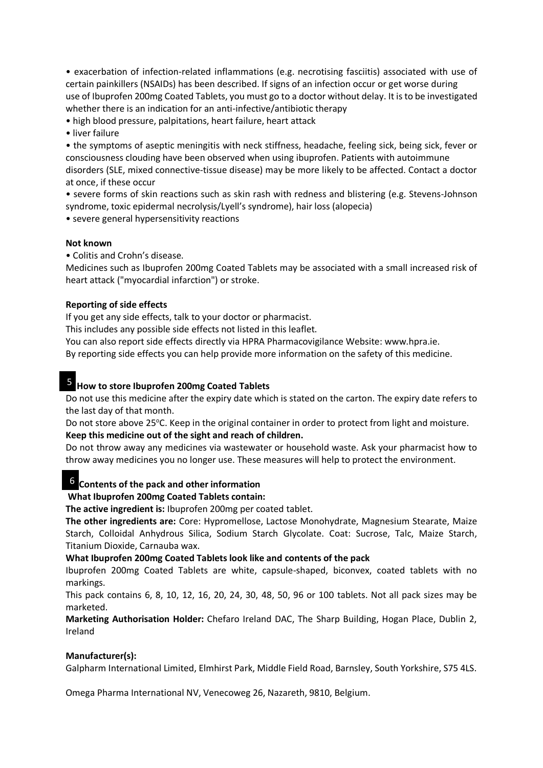• exacerbation of infection-related inflammations (e.g. necrotising fasciitis) associated with use of certain painkillers (NSAIDs) has been described. If signs of an infection occur or get worse during use of Ibuprofen 200mg Coated Tablets, you must go to a doctor without delay. It is to be investigated whether there is an indication for an anti-infective/antibiotic therapy

• high blood pressure, palpitations, heart failure, heart attack

• liver failure

• the symptoms of aseptic meningitis with neck stiffness, headache, feeling sick, being sick, fever or consciousness clouding have been observed when using ibuprofen. Patients with autoimmune disorders (SLE, mixed connective-tissue disease) may be more likely to be affected. Contact a doctor at once, if these occur

• severe forms of skin reactions such as skin rash with redness and blistering (e.g. Stevens-Johnson syndrome, toxic epidermal necrolysis/Lyell's syndrome), hair loss (alopecia)

• severe general hypersensitivity reactions

#### **Not known**

• Colitis and Crohn's disease.

Medicines such as Ibuprofen 200mg Coated Tablets may be associated with a small increased risk of heart attack ("myocardial infarction") or stroke.

#### **Reporting of side effects**

If you get any side effects, talk to your doctor or pharmacist.

This includes any possible side effects not listed in this leaflet.

You can also report side effects directly via HPRA Pharmacovigilance Website[: www.hpra.ie.](https://urldefense.proofpoint.com/v2/url?u=http-3A__www.hpra.ie&d=DwMFAw&c=wcMRSsyWyu-9n0XIzZfY3g&r=eB3XLBIpinOyle9QAwkZdHjShYCwT5sw-vBojd1ELS0&m=U2HHNDErWnjUZlKM4qj16BFwura5DaCDidSPLQLdQ74&s=qESFO7I-yHwoCzPETwPwvYjiN3ImEQ9EV6c1fX7jDbQ&e=)

By reporting side effects you can help provide more information on the safety of this medicine.

# **How to store Ibuprofen 200mg Coated Tablets** 5

Do not use this medicine after the expiry date which is stated on the carton. The expiry date refers to the last day of that month.

Do not store above 25°C. Keep in the original container in order to protect from light and moisture. **Keep this medicine out of the sight and reach of children.**

Do not throw away any medicines via wastewater or household waste. Ask your pharmacist how to throw away medicines you no longer use. These measures will help to protect the environment.

# **Contents of the pack and other information** 6

# **What Ibuprofen 200mg Coated Tablets contain:**

**The active ingredient is:** Ibuprofen 200mg per coated tablet.

**The other ingredients are:** Core: Hypromellose, Lactose Monohydrate, Magnesium Stearate, Maize Starch, Colloidal Anhydrous Silica, Sodium Starch Glycolate. Coat: Sucrose, Talc, Maize Starch, Titanium Dioxide, Carnauba wax.

#### **What Ibuprofen 200mg Coated Tablets look like and contents of the pack**

Ibuprofen 200mg Coated Tablets are white, capsule-shaped, biconvex, coated tablets with no markings.

This pack contains 6, 8, 10, 12, 16, 20, 24, 30, 48, 50, 96 or 100 tablets. Not all pack sizes may be marketed.

**Marketing Authorisation Holder:** Chefaro Ireland DAC, The Sharp Building, Hogan Place, Dublin 2, Ireland

#### **Manufacturer(s):**

Galpharm International Limited, Elmhirst Park, Middle Field Road, Barnsley, South Yorkshire, S75 4LS.

Omega Pharma International NV, Venecoweg 26, Nazareth, 9810, Belgium.